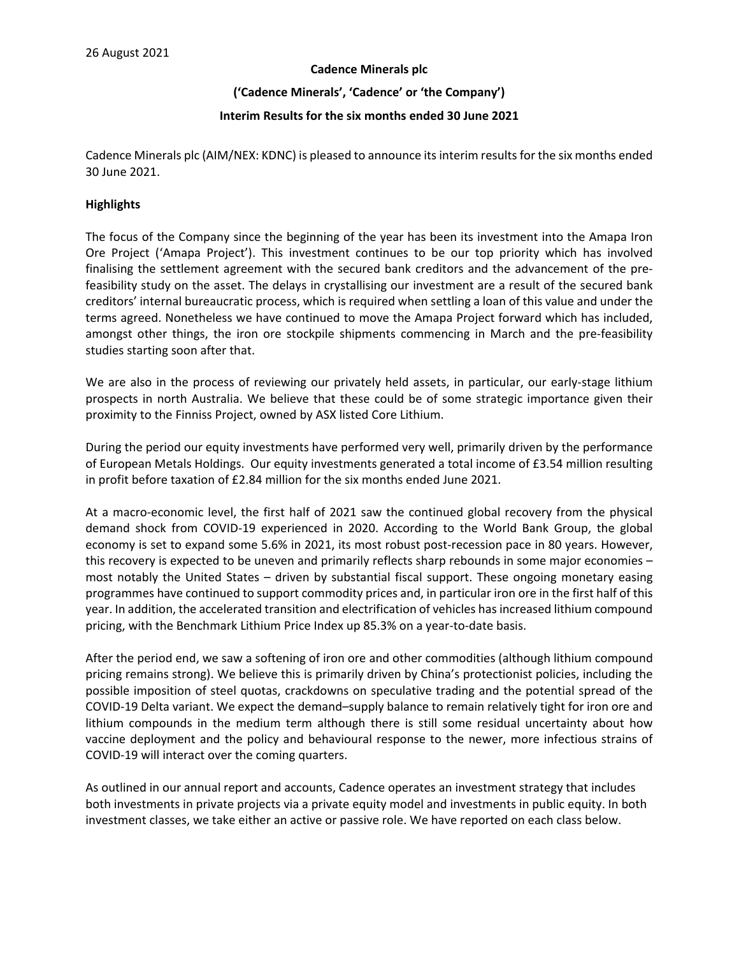#### **Cadence Minerals plc**

**('Cadence Minerals', 'Cadence' or 'the Company')**

### **Interim Results for the six months ended 30 June 2021**

Cadence Minerals plc (AIM/NEX: KDNC) is pleased to announce its interim results for the six months ended 30 June 2021.

### **Highlights**

The focus of the Company since the beginning of the year has been its investment into the Amapa Iron Ore Project ('Amapa Project'). This investment continues to be our top priority which has involved finalising the settlement agreement with the secured bank creditors and the advancement of the prefeasibility study on the asset. The delays in crystallising our investment are a result of the secured bank creditors' internal bureaucratic process, which is required when settling a loan of this value and under the terms agreed. Nonetheless we have continued to move the Amapa Project forward which has included, amongst other things, the iron ore stockpile shipments commencing in March and the pre-feasibility studies starting soon after that.

We are also in the process of reviewing our privately held assets, in particular, our early-stage lithium prospects in north Australia. We believe that these could be of some strategic importance given their proximity to the Finniss Project, owned by ASX listed Core Lithium.

During the period our equity investments have performed very well, primarily driven by the performance of European Metals Holdings. Our equity investments generated a total income of £3.54 million resulting in profit before taxation of £2.84 million for the six months ended June 2021.

At a macro-economic level, the first half of 2021 saw the continued global recovery from the physical demand shock from COVID-19 experienced in 2020. According to the World Bank Group, the global economy is set to expand some 5.6% in 2021, its most robust post-recession pace in 80 years. However, this recovery is expected to be uneven and primarily reflects sharp rebounds in some major economies – most notably the United States – driven by substantial fiscal support. These ongoing monetary easing programmes have continued to support commodity prices and, in particular iron ore in the first half of this year. In addition, the accelerated transition and electrification of vehicles has increased lithium compound pricing, with the Benchmark Lithium Price Index up 85.3% on a year-to-date basis.

After the period end, we saw a softening of iron ore and other commodities (although lithium compound pricing remains strong). We believe this is primarily driven by China's protectionist policies, including the possible imposition of steel quotas, crackdowns on speculative trading and the potential spread of the COVID-19 Delta variant. We expect the demand–supply balance to remain relatively tight for iron ore and lithium compounds in the medium term although there is still some residual uncertainty about how vaccine deployment and the policy and behavioural response to the newer, more infectious strains of COVID-19 will interact over the coming quarters.

As outlined in our annual report and accounts, Cadence operates an investment strategy that includes both investments in private projects via a private equity model and investments in public equity. In both investment classes, we take either an active or passive role. We have reported on each class below.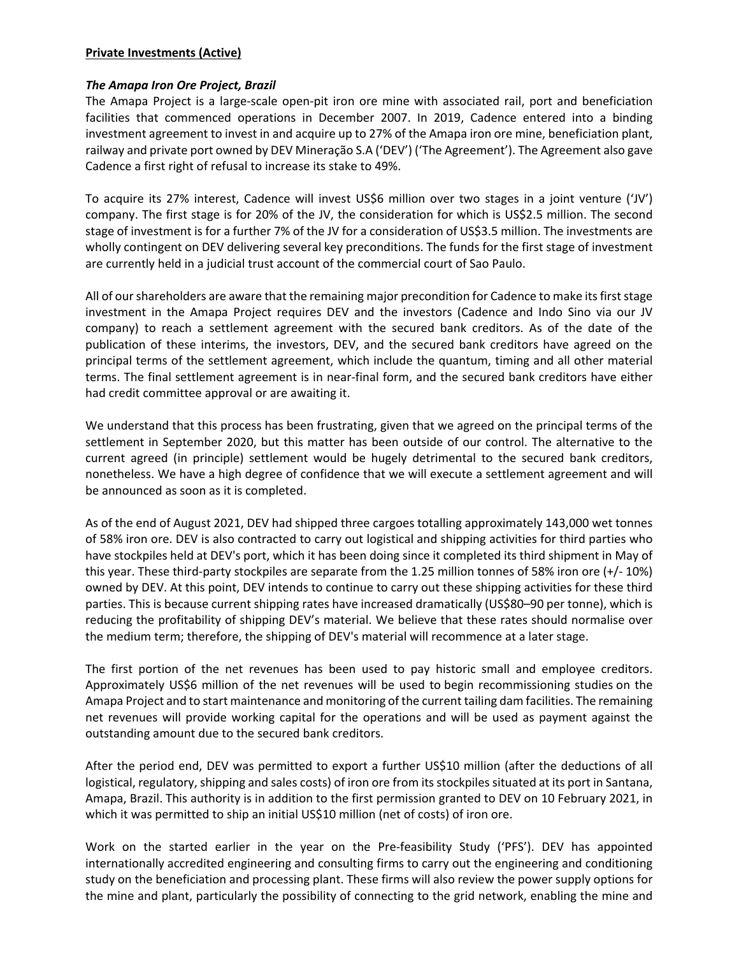## **Private Investments (Active)**

## *The Amapa Iron Ore Project, Brazil*

The Amapa Project is a large-scale open-pit iron ore mine with associated rail, port and beneficiation facilities that commenced operations in December 2007. In 2019, Cadence entered into a binding investment agreement to invest in and acquire up to 27% of the Amapa iron ore mine, beneficiation plant, railway and private port owned by DEV Mineração S.A ('DEV') ('The Agreement'). The Agreement also gave Cadence a first right of refusal to increase its stake to 49%.

To acquire its 27% interest, Cadence will invest US\$6 million over two stages in a joint venture ('JV') company. The first stage is for 20% of the JV, the consideration for which is US\$2.5 million. The second stage of investment is for a further 7% of the JV for a consideration of US\$3.5 million. The investments are wholly contingent on DEV delivering several key preconditions. The funds for the first stage of investment are currently held in a judicial trust account of the commercial court of Sao Paulo.

All of our shareholders are aware that the remaining major precondition for Cadence to make its first stage investment in the Amapa Project requires DEV and the investors (Cadence and Indo Sino via our JV company) to reach a settlement agreement with the secured bank creditors. As of the date of the publication of these interims, the investors, DEV, and the secured bank creditors have agreed on the principal terms of the settlement agreement, which include the quantum, timing and all other material terms. The final settlement agreement is in near-final form, and the secured bank creditors have either had credit committee approval or are awaiting it.

We understand that this process has been frustrating, given that we agreed on the principal terms of the settlement in September 2020, but this matter has been outside of our control. The alternative to the current agreed (in principle) settlement would be hugely detrimental to the secured bank creditors, nonetheless. We have a high degree of confidence that we will execute a settlement agreement and will be announced as soon as it is completed.

As of the end of August 2021, DEV had shipped three cargoes totalling approximately 143,000 wet tonnes of 58% iron ore. DEV is also contracted to carry out logistical and shipping activities for third parties who have stockpiles held at DEV's port, which it has been doing since it completed its third shipment in May of this year. These third-party stockpiles are separate from the 1.25 million tonnes of 58% iron ore (+/- 10%) owned by DEV. At this point, DEV intends to continue to carry out these shipping activities for these third parties. This is because current shipping rates have increased dramatically (US\$80–90 per tonne), which is reducing the profitability of shipping DEV's material. We believe that these rates should normalise over the medium term; therefore, the shipping of DEV's material will recommence at a later stage.

The first portion of the net revenues has been used to pay historic small and employee creditors. Approximately US\$6 million of the net revenues will be used to begin recommissioning studies on the Amapa Project and to start maintenance and monitoring of the current tailing dam facilities. The remaining net revenues will provide working capital for the operations and will be used as payment against the outstanding amount due to the secured bank creditors.

After the period end, DEV was permitted to export a further US\$10 million (after the deductions of all logistical, regulatory, shipping and sales costs) of iron ore from its stockpiles situated at its port in Santana, Amapa, Brazil. This authority is in addition to the first permission granted to DEV on 10 February 2021, in which it was permitted to ship an initial US\$10 million (net of costs) of iron ore.

Work on the started earlier in the year on the Pre-feasibility Study ('PFS'). DEV has appointed internationally accredited engineering and consulting firms to carry out the engineering and conditioning study on the beneficiation and processing plant. These firms will also review the power supply options for the mine and plant, particularly the possibility of connecting to the grid network, enabling the mine and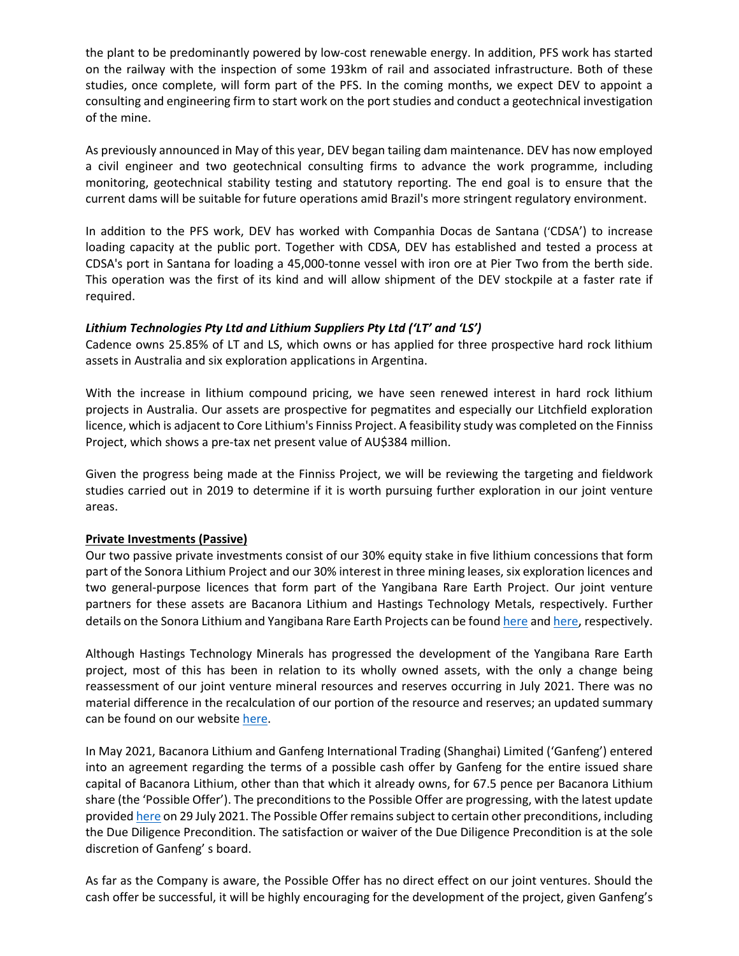the plant to be predominantly powered by low-cost renewable energy. In addition, PFS work has started on the railway with the inspection of some 193km of rail and associated infrastructure. Both of these studies, once complete, will form part of the PFS. In the coming months, we expect DEV to appoint a consulting and engineering firm to start work on the port studies and conduct a geotechnical investigation of the mine.

As previously announced in May of this year, DEV began tailing dam maintenance. DEV has now employed a civil engineer and two geotechnical consulting firms to advance the work programme, including monitoring, geotechnical stability testing and statutory reporting. The end goal is to ensure that the current dams will be suitable for future operations amid Brazil's more stringent regulatory environment.

In addition to the PFS work, DEV has worked with Companhia Docas de Santana ('CDSA') to increase loading capacity at the public port. Together with CDSA, DEV has established and tested a process at CDSA's port in Santana for loading a 45,000-tonne vessel with iron ore at Pier Two from the berth side. This operation was the first of its kind and will allow shipment of the DEV stockpile at a faster rate if required.

# *Lithium Technologies Pty Ltd and Lithium Suppliers Pty Ltd ('LT' and 'LS')*

Cadence owns 25.85% of LT and LS, which owns or has applied for three prospective hard rock lithium assets in Australia and six exploration applications in Argentina.

With the increase in lithium compound pricing, we have seen renewed interest in hard rock lithium projects in Australia. Our assets are prospective for pegmatites and especially our Litchfield exploration licence, which is adjacent to Core Lithium's Finniss Project. A feasibility study was completed on the Finniss Project, which shows a pre-tax net present value of AU\$384 million.

Given the progress being made at the Finniss Project, we will be reviewing the targeting and fieldwork studies carried out in 2019 to determine if it is worth pursuing further exploration in our joint venture areas.

## **Private Investments (Passive)**

Our two passive private investments consist of our 30% equity stake in five lithium concessions that form part of the Sonora Lithium Project and our 30% interest in three mining leases, six exploration licences and two general-purpose licences that form part of the Yangibana Rare Earth Project. Our joint venture partners for these assets are Bacanora Lithium and Hastings Technology Metals, respectively. Further details on the Sonora Lithium and Yangibana Rare Earth Projects can be found [here](https://www.cadenceminerals.com/projects/sonora-lithium-project/) and [here,](https://www.cadenceminerals.com/projects/yangibana-rare-earth-project-2/) respectively.

Although Hastings Technology Minerals has progressed the development of the Yangibana Rare Earth project, most of this has been in relation to its wholly owned assets, with the only a change being reassessment of our joint venture mineral resources and reserves occurring in July 2021. There was no material difference in the recalculation of our portion of the resource and reserves; an updated summary can be found on our website [here.](https://www.cadenceminerals.com/projects/yangibana-rare-earth-project-2/)

In May 2021, Bacanora Lithium and Ganfeng International Trading (Shanghai) Limited ('Ganfeng') entered into an agreement regarding the terms of a possible cash offer by Ganfeng for the entire issued share capital of Bacanora Lithium, other than that which it already owns, for 67.5 pence per Bacanora Lithium share (the 'Possible Offer'). The preconditions to the Possible Offer are progressing, with the latest update provided [here](https://polaris.brighterir.com/public/bacanora_lithium/news/rns/story/w6pqmlx) on 29 July 2021. The Possible Offer remains subject to certain other preconditions, including the Due Diligence Precondition. The satisfaction or waiver of the Due Diligence Precondition is at the sole discretion of Ganfeng' s board.

As far as the Company is aware, the Possible Offer has no direct effect on our joint ventures. Should the cash offer be successful, it will be highly encouraging for the development of the project, given Ganfeng's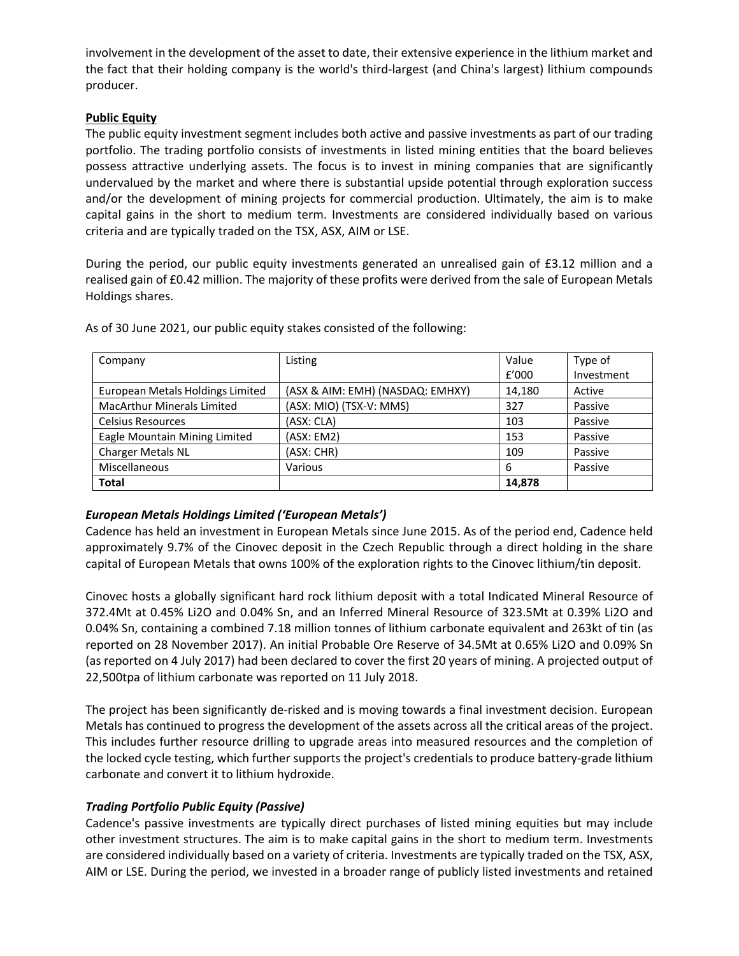involvement in the development of the asset to date, their extensive experience in the lithium market and the fact that their holding company is the world's third-largest (and China's largest) lithium compounds producer.

# **Public Equity**

The public equity investment segment includes both active and passive investments as part of our trading portfolio. The trading portfolio consists of investments in listed mining entities that the board believes possess attractive underlying assets. The focus is to invest in mining companies that are significantly undervalued by the market and where there is substantial upside potential through exploration success and/or the development of mining projects for commercial production. Ultimately, the aim is to make capital gains in the short to medium term. Investments are considered individually based on various criteria and are typically traded on the TSX, ASX, AIM or LSE.

During the period, our public equity investments generated an unrealised gain of £3.12 million and a realised gain of £0.42 million. The majority of these profits were derived from the sale of European Metals Holdings shares.

| Company                           | Listing                          | Value  | Type of    |
|-----------------------------------|----------------------------------|--------|------------|
|                                   |                                  | f'000  | Investment |
| European Metals Holdings Limited  | (ASX & AIM: EMH) (NASDAQ: EMHXY) | 14,180 | Active     |
| <b>MacArthur Minerals Limited</b> | (ASX: MIO) (TSX-V: MMS)          | 327    | Passive    |
| <b>Celsius Resources</b>          | (ASX: CLA)                       | 103    | Passive    |
| Eagle Mountain Mining Limited     | (ASK: EM2)                       | 153    | Passive    |
| Charger Metals NL                 | (ASX: CHR)                       | 109    | Passive    |
| Miscellaneous                     | Various                          | 6      | Passive    |
| <b>Total</b>                      |                                  | 14,878 |            |

As of 30 June 2021, our public equity stakes consisted of the following:

# *European Metals Holdings Limited ('European Metals')*

Cadence has held an investment in European Metals since June 2015. As of the period end, Cadence held approximately 9.7% of the Cinovec deposit in the Czech Republic through a direct holding in the share capital of European Metals that owns 100% of the exploration rights to the Cinovec lithium/tin deposit.

Cinovec hosts a globally significant hard rock lithium deposit with a total Indicated Mineral Resource of 372.4Mt at 0.45% Li2O and 0.04% Sn, and an Inferred Mineral Resource of 323.5Mt at 0.39% Li2O and 0.04% Sn, containing a combined 7.18 million tonnes of lithium carbonate equivalent and 263kt of tin (as reported on 28 November 2017). An initial Probable Ore Reserve of 34.5Mt at 0.65% Li2O and 0.09% Sn (as reported on 4 July 2017) had been declared to cover the first 20 years of mining. A projected output of 22,500tpa of lithium carbonate was reported on 11 July 2018.

The project has been significantly de-risked and is moving towards a final investment decision. European Metals has continued to progress the development of the assets across all the critical areas of the project. This includes further resource drilling to upgrade areas into measured resources and the completion of the locked cycle testing, which further supports the project's credentials to produce battery-grade lithium carbonate and convert it to lithium hydroxide.

# *Trading Portfolio Public Equity (Passive)*

Cadence's passive investments are typically direct purchases of listed mining equities but may include other investment structures. The aim is to make capital gains in the short to medium term. Investments are considered individually based on a variety of criteria. Investments are typically traded on the TSX, ASX, AIM or LSE. During the period, we invested in a broader range of publicly listed investments and retained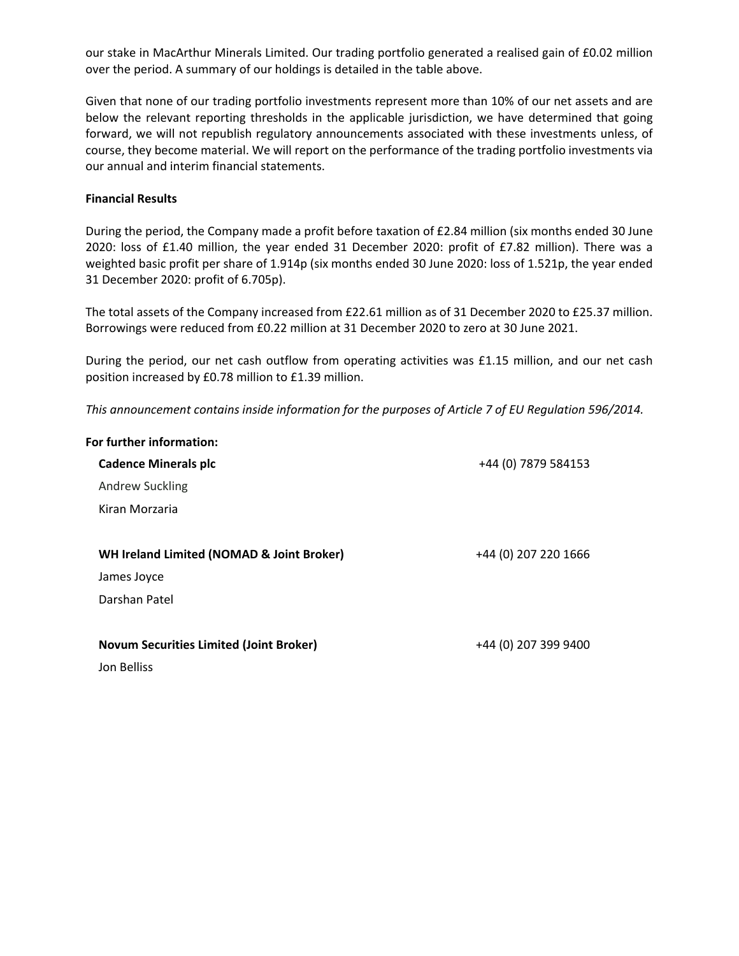our stake in MacArthur Minerals Limited. Our trading portfolio generated a realised gain of £0.02 million over the period. A summary of our holdings is detailed in the table above.

Given that none of our trading portfolio investments represent more than 10% of our net assets and are below the relevant reporting thresholds in the applicable jurisdiction, we have determined that going forward, we will not republish regulatory announcements associated with these investments unless, of course, they become material. We will report on the performance of the trading portfolio investments via our annual and interim financial statements.

### **Financial Results**

During the period, the Company made a profit before taxation of £2.84 million (six months ended 30 June 2020: loss of £1.40 million, the year ended 31 December 2020: profit of £7.82 million). There was a weighted basic profit per share of 1.914p (six months ended 30 June 2020: loss of 1.521p, the year ended 31 December 2020: profit of 6.705p).

The total assets of the Company increased from £22.61 million as of 31 December 2020 to £25.37 million. Borrowings were reduced from £0.22 million at 31 December 2020 to zero at 30 June 2021.

During the period, our net cash outflow from operating activities was £1.15 million, and our net cash position increased by £0.78 million to £1.39 million.

*This announcement contains inside information for the purposes of Article 7 of EU Regulation 596/2014.*

| For further information:                       |                      |
|------------------------------------------------|----------------------|
| <b>Cadence Minerals plc</b>                    | +44 (0) 7879 584153  |
| <b>Andrew Suckling</b>                         |                      |
| Kiran Morzaria                                 |                      |
|                                                |                      |
| WH Ireland Limited (NOMAD & Joint Broker)      | +44 (0) 207 220 1666 |
| James Joyce                                    |                      |
| Darshan Patel                                  |                      |
|                                                |                      |
| <b>Novum Securities Limited (Joint Broker)</b> | +44 (0) 207 399 9400 |
| Jon Belliss                                    |                      |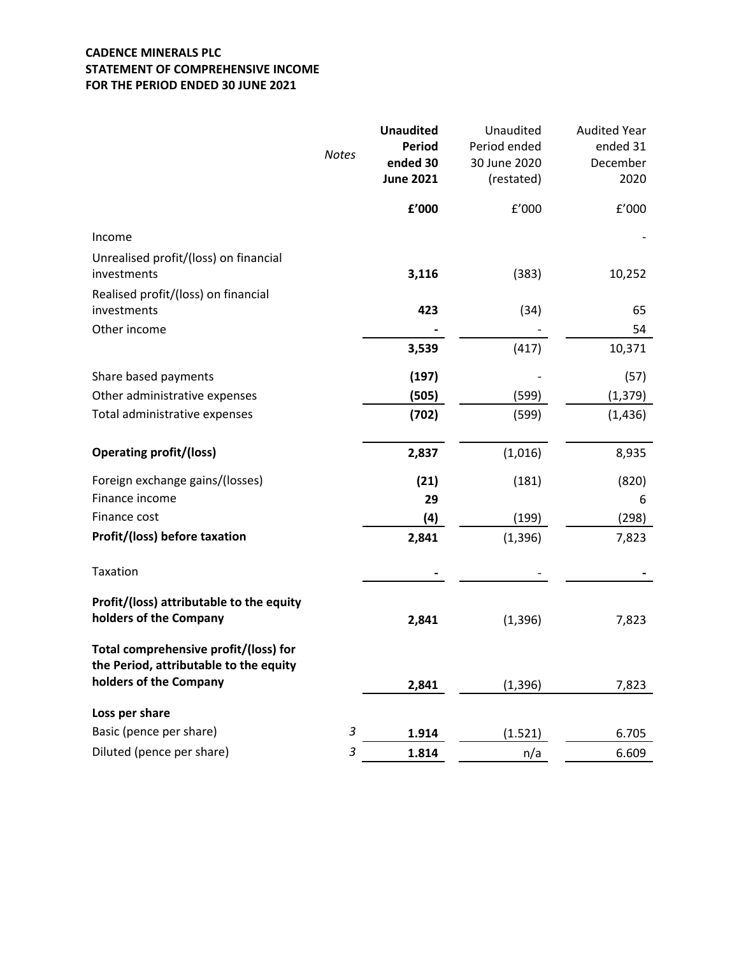# **CADENCE MINERALS PLC STATEMENT OF COMPREHENSIVE INCOME FOR THE PERIOD ENDED 30 JUNE 2021**

|                                                                                 | <b>Notes</b>              | <b>Unaudited</b><br><b>Period</b><br>ended 30<br><b>June 2021</b> | Unaudited<br>Period ended<br>30 June 2020<br>(restated) | <b>Audited Year</b><br>ended 31<br>December<br>2020 |
|---------------------------------------------------------------------------------|---------------------------|-------------------------------------------------------------------|---------------------------------------------------------|-----------------------------------------------------|
|                                                                                 |                           | ${\bf f}^{\prime}$ 000                                            | £'000                                                   | f'000                                               |
| Income                                                                          |                           |                                                                   |                                                         |                                                     |
| Unrealised profit/(loss) on financial<br>investments                            |                           | 3,116                                                             | (383)                                                   | 10,252                                              |
| Realised profit/(loss) on financial<br>investments                              |                           | 423                                                               | (34)                                                    | 65                                                  |
| Other income                                                                    |                           |                                                                   |                                                         | 54                                                  |
|                                                                                 |                           | 3,539                                                             | (417)                                                   | 10,371                                              |
| Share based payments                                                            |                           | (197)                                                             |                                                         | (57)                                                |
| Other administrative expenses                                                   |                           | (505)                                                             | (599)                                                   | (1, 379)                                            |
| Total administrative expenses                                                   |                           | (702)                                                             | (599)                                                   | (1, 436)                                            |
| <b>Operating profit/(loss)</b>                                                  |                           | 2,837                                                             | (1,016)                                                 | 8,935                                               |
| Foreign exchange gains/(losses)                                                 |                           | (21)                                                              | (181)                                                   | (820)                                               |
| Finance income                                                                  |                           | 29                                                                |                                                         | 6                                                   |
| Finance cost                                                                    |                           | (4)                                                               | (199)                                                   | (298)                                               |
| Profit/(loss) before taxation                                                   |                           | 2,841                                                             | (1, 396)                                                | 7,823                                               |
| Taxation                                                                        |                           |                                                                   |                                                         |                                                     |
| Profit/(loss) attributable to the equity<br>holders of the Company              |                           | 2,841                                                             | (1, 396)                                                | 7,823                                               |
| Total comprehensive profit/(loss) for<br>the Period, attributable to the equity |                           |                                                                   |                                                         |                                                     |
| holders of the Company                                                          |                           | 2,841                                                             | (1, 396)                                                | 7,823                                               |
| Loss per share                                                                  |                           |                                                                   |                                                         |                                                     |
| Basic (pence per share)                                                         | $\ensuremath{\mathsf{3}}$ | 1.914                                                             | (1.521)                                                 | 6.705                                               |
| Diluted (pence per share)                                                       | 3                         | 1.814                                                             | n/a                                                     | 6.609                                               |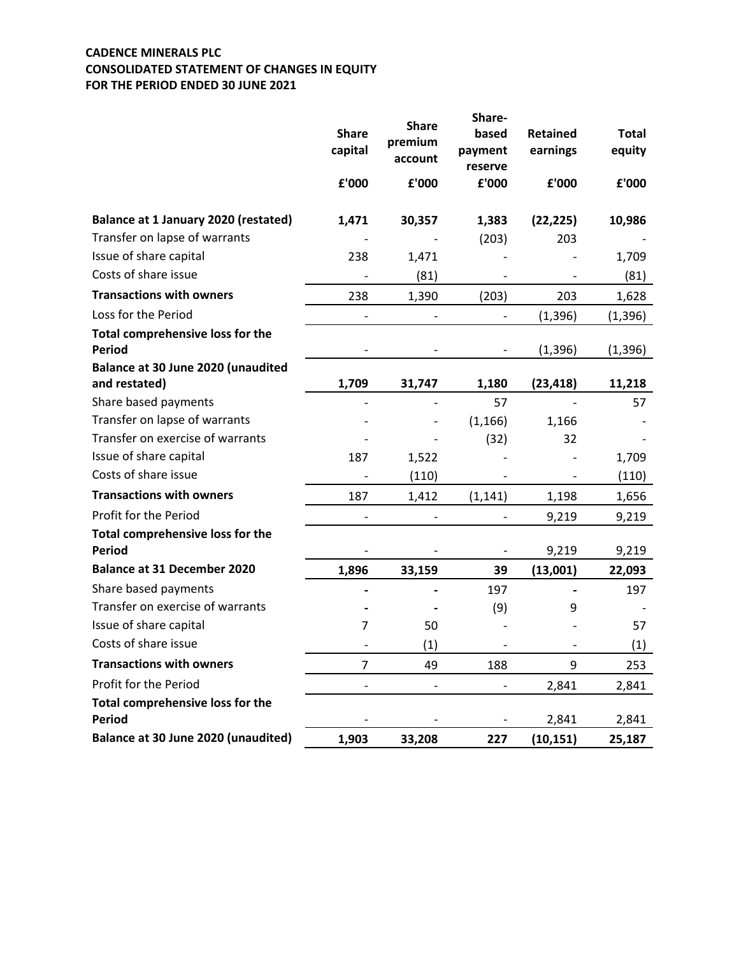# **CADENCE MINERALS PLC CONSOLIDATED STATEMENT OF CHANGES IN EQUITY FOR THE PERIOD ENDED 30 JUNE 2021**

|                                                     | <b>Share</b><br>capital      | <b>Share</b><br>premium<br>account | Share-<br>based<br>payment<br>reserve | <b>Retained</b><br>earnings | <b>Total</b><br>equity |
|-----------------------------------------------------|------------------------------|------------------------------------|---------------------------------------|-----------------------------|------------------------|
|                                                     | £'000                        | £'000                              | £'000                                 | £'000                       | £'000                  |
| <b>Balance at 1 January 2020 (restated)</b>         | 1,471                        | 30,357                             | 1,383                                 | (22, 225)                   | 10,986                 |
| Transfer on lapse of warrants                       |                              |                                    | (203)                                 | 203                         |                        |
| Issue of share capital                              | 238                          | 1,471                              |                                       |                             | 1,709                  |
| Costs of share issue                                |                              | (81)                               |                                       |                             | (81)                   |
| <b>Transactions with owners</b>                     | 238                          | 1,390                              | (203)                                 | 203                         | 1,628                  |
| Loss for the Period                                 |                              |                                    |                                       | (1, 396)                    | (1, 396)               |
| Total comprehensive loss for the<br><b>Period</b>   |                              |                                    |                                       | (1, 396)                    | (1, 396)               |
| Balance at 30 June 2020 (unaudited<br>and restated) | 1,709                        | 31,747                             | 1,180                                 | (23, 418)                   | 11,218                 |
| Share based payments                                |                              |                                    | 57                                    |                             | 57                     |
| Transfer on lapse of warrants                       |                              |                                    | (1, 166)                              | 1,166                       |                        |
| Transfer on exercise of warrants                    |                              |                                    | (32)                                  | 32                          |                        |
| Issue of share capital                              | 187                          | 1,522                              |                                       |                             | 1,709                  |
| Costs of share issue                                |                              | (110)                              |                                       |                             | (110)                  |
| <b>Transactions with owners</b>                     | 187                          | 1,412                              | (1, 141)                              | 1,198                       | 1,656                  |
| Profit for the Period                               |                              |                                    |                                       | 9,219                       | 9,219                  |
| Total comprehensive loss for the<br><b>Period</b>   |                              |                                    |                                       | 9,219                       | 9,219                  |
| <b>Balance at 31 December 2020</b>                  | 1,896                        | 33,159                             | 39                                    | (13,001)                    | 22,093                 |
| Share based payments                                |                              |                                    | 197                                   |                             | 197                    |
| Transfer on exercise of warrants                    |                              |                                    | (9)                                   | 9                           |                        |
| Issue of share capital                              | $\overline{7}$               | 50                                 |                                       |                             | 57                     |
| Costs of share issue                                |                              | (1)                                |                                       |                             | (1)                    |
| <b>Transactions with owners</b>                     | $\overline{7}$               | 49                                 | 188                                   | 9                           | 253                    |
| Profit for the Period                               | $\qquad \qquad \blacksquare$ |                                    |                                       | 2,841                       | 2,841                  |
| Total comprehensive loss for the                    |                              |                                    |                                       |                             |                        |
| Period                                              |                              |                                    |                                       | 2,841                       | 2,841                  |
| Balance at 30 June 2020 (unaudited)                 | 1,903                        | 33,208                             | 227                                   | (10, 151)                   | 25,187                 |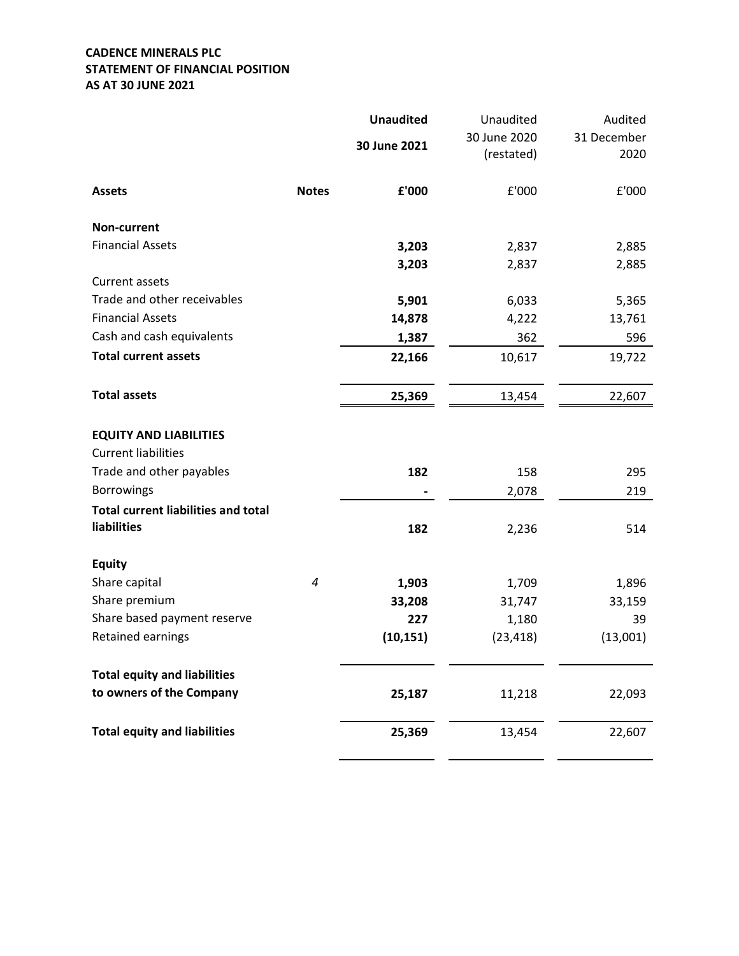# **CADENCE MINERALS PLC STATEMENT OF FINANCIAL POSITION AS AT 30 JUNE 2021**

|                                            |              | <b>Unaudited</b> | Unaudited                  | Audited             |
|--------------------------------------------|--------------|------------------|----------------------------|---------------------|
|                                            |              | 30 June 2021     | 30 June 2020<br>(restated) | 31 December<br>2020 |
| <b>Assets</b>                              | <b>Notes</b> | £'000            | £'000                      | £'000               |
| Non-current                                |              |                  |                            |                     |
| <b>Financial Assets</b>                    |              | 3,203            | 2,837                      | 2,885               |
|                                            |              | 3,203            | 2,837                      | 2,885               |
| Current assets                             |              |                  |                            |                     |
| Trade and other receivables                |              | 5,901            | 6,033                      | 5,365               |
| <b>Financial Assets</b>                    |              | 14,878           | 4,222                      | 13,761              |
| Cash and cash equivalents                  |              | 1,387            | 362                        | 596                 |
| <b>Total current assets</b>                |              | 22,166           | 10,617                     | 19,722              |
| <b>Total assets</b>                        |              | 25,369           | 13,454                     | 22,607              |
| <b>EQUITY AND LIABILITIES</b>              |              |                  |                            |                     |
| <b>Current liabilities</b>                 |              |                  |                            |                     |
| Trade and other payables                   |              | 182              | 158                        | 295                 |
| <b>Borrowings</b>                          |              |                  | 2,078                      | 219                 |
| <b>Total current liabilities and total</b> |              |                  |                            |                     |
| liabilities                                |              | 182              | 2,236                      | 514                 |
| <b>Equity</b>                              |              |                  |                            |                     |
| Share capital                              | 4            | 1,903            | 1,709                      | 1,896               |
| Share premium                              |              | 33,208           | 31,747                     | 33,159              |
| Share based payment reserve                |              | 227              | 1,180                      | 39                  |
| Retained earnings                          |              | (10, 151)        | (23, 418)                  | (13,001)            |
| <b>Total equity and liabilities</b>        |              |                  |                            |                     |
| to owners of the Company                   |              | 25,187           | 11,218                     | 22,093              |
| <b>Total equity and liabilities</b>        |              | 25,369           | 13,454                     | 22,607              |
|                                            |              |                  |                            |                     |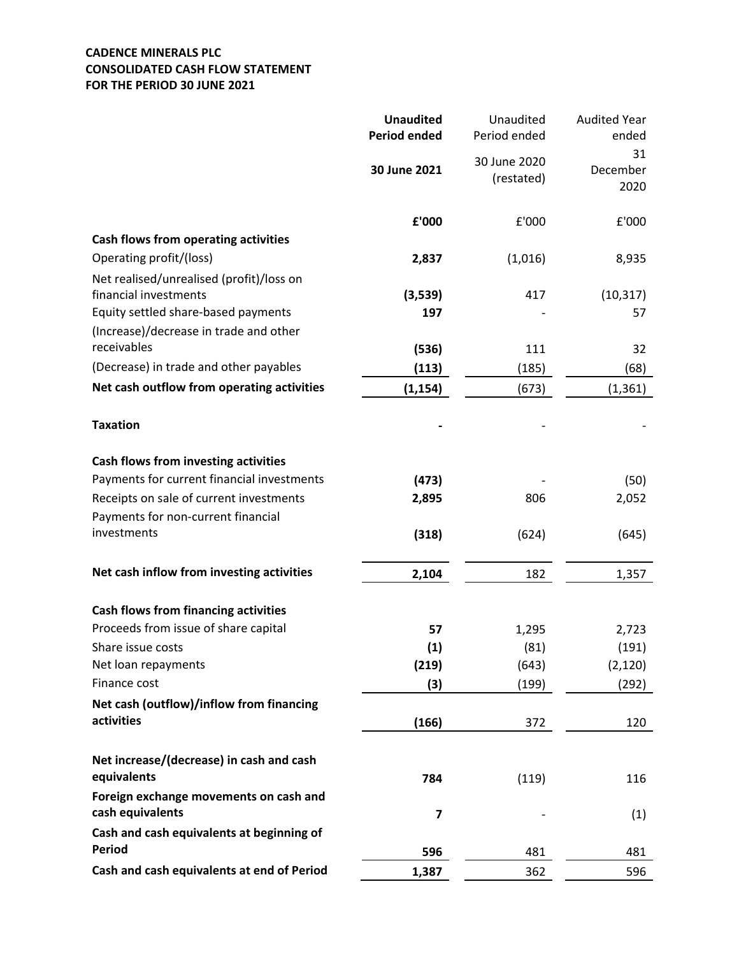# **CADENCE MINERALS PLC CONSOLIDATED CASH FLOW STATEMENT FOR THE PERIOD 30 JUNE 2021**

|                                             | <b>Unaudited</b><br><b>Period ended</b> | Unaudited<br>Period ended  | <b>Audited Year</b><br>ended |
|---------------------------------------------|-----------------------------------------|----------------------------|------------------------------|
|                                             | 30 June 2021                            | 30 June 2020<br>(restated) | 31<br>December<br>2020       |
|                                             | £'000                                   | £'000                      | £'000                        |
| Cash flows from operating activities        |                                         |                            |                              |
| Operating profit/(loss)                     | 2,837                                   | (1,016)                    | 8,935                        |
| Net realised/unrealised (profit)/loss on    |                                         |                            |                              |
| financial investments                       | (3,539)                                 | 417                        | (10, 317)                    |
| Equity settled share-based payments         | 197                                     |                            | 57                           |
| (Increase)/decrease in trade and other      |                                         |                            |                              |
| receivables                                 | (536)                                   | 111                        | 32                           |
| (Decrease) in trade and other payables      | (113)                                   | (185)                      | (68)                         |
| Net cash outflow from operating activities  | (1, 154)                                | (673)                      | (1, 361)                     |
| <b>Taxation</b>                             |                                         |                            |                              |
| Cash flows from investing activities        |                                         |                            |                              |
| Payments for current financial investments  | (473)                                   |                            | (50)                         |
| Receipts on sale of current investments     | 2,895                                   | 806                        | 2,052                        |
| Payments for non-current financial          |                                         |                            |                              |
| investments                                 | (318)                                   | (624)                      | (645)                        |
| Net cash inflow from investing activities   | 2,104                                   | 182                        | 1,357                        |
|                                             |                                         |                            |                              |
| <b>Cash flows from financing activities</b> |                                         |                            |                              |
| Proceeds from issue of share capital        | 57                                      | 1,295                      | 2,723                        |
| Share issue costs                           | (1)                                     | (81)                       | (191)                        |
| Net loan repayments                         | (219)                                   | (643)                      | (2, 120)                     |
| Finance cost                                | (3)                                     | (199)                      | (292)                        |
| Net cash (outflow)/inflow from financing    |                                         |                            |                              |
| activities                                  | (166)                                   | 372                        | 120                          |
| Net increase/(decrease) in cash and cash    |                                         |                            |                              |
| equivalents                                 | 784                                     | (119)                      | 116                          |
| Foreign exchange movements on cash and      |                                         |                            |                              |
| cash equivalents                            | 7                                       |                            | (1)                          |
| Cash and cash equivalents at beginning of   |                                         |                            |                              |
| <b>Period</b>                               | 596                                     | 481                        | 481                          |
| Cash and cash equivalents at end of Period  | 1,387                                   | 362                        | 596                          |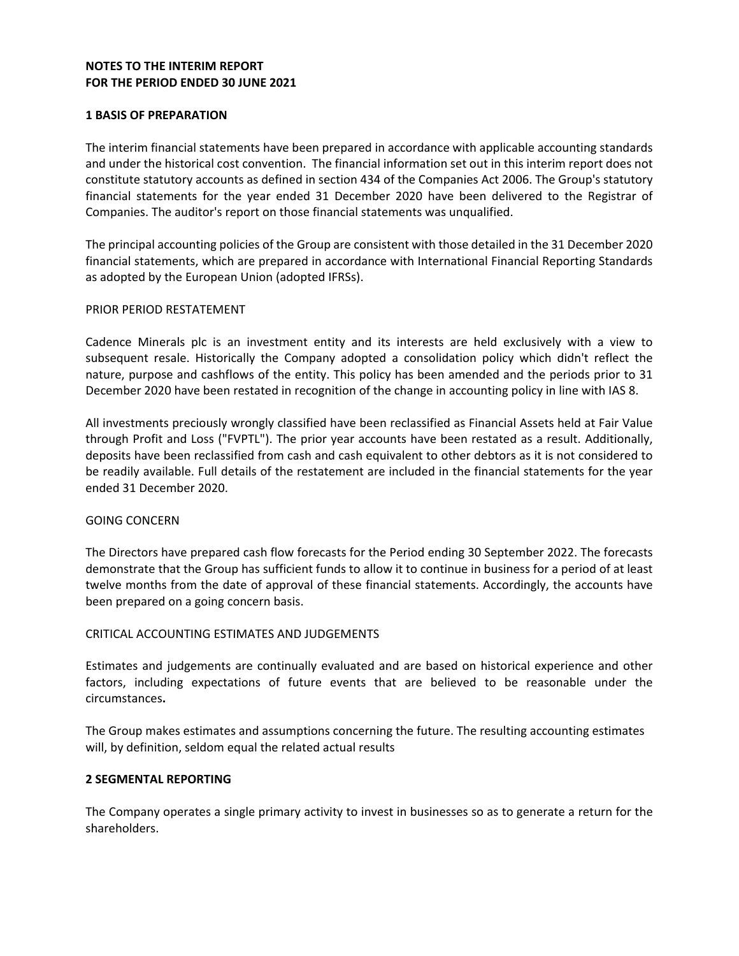## **NOTES TO THE INTERIM REPORT FOR THE PERIOD ENDED 30 JUNE 2021**

### **1 BASIS OF PREPARATION**

The interim financial statements have been prepared in accordance with applicable accounting standards and under the historical cost convention. The financial information set out in this interim report does not constitute statutory accounts as defined in section 434 of the Companies Act 2006. The Group's statutory financial statements for the year ended 31 December 2020 have been delivered to the Registrar of Companies. The auditor's report on those financial statements was unqualified.

The principal accounting policies of the Group are consistent with those detailed in the 31 December 2020 financial statements, which are prepared in accordance with International Financial Reporting Standards as adopted by the European Union (adopted IFRSs).

#### PRIOR PERIOD RESTATEMENT

Cadence Minerals plc is an investment entity and its interests are held exclusively with a view to subsequent resale. Historically the Company adopted a consolidation policy which didn't reflect the nature, purpose and cashflows of the entity. This policy has been amended and the periods prior to 31 December 2020 have been restated in recognition of the change in accounting policy in line with IAS 8.

All investments preciously wrongly classified have been reclassified as Financial Assets held at Fair Value through Profit and Loss ("FVPTL"). The prior year accounts have been restated as a result. Additionally, deposits have been reclassified from cash and cash equivalent to other debtors as it is not considered to be readily available. Full details of the restatement are included in the financial statements for the year ended 31 December 2020.

#### GOING CONCERN

The Directors have prepared cash flow forecasts for the Period ending 30 September 2022. The forecasts demonstrate that the Group has sufficient funds to allow it to continue in business for a period of at least twelve months from the date of approval of these financial statements. Accordingly, the accounts have been prepared on a going concern basis.

## CRITICAL ACCOUNTING ESTIMATES AND JUDGEMENTS

Estimates and judgements are continually evaluated and are based on historical experience and other factors, including expectations of future events that are believed to be reasonable under the circumstances**.** 

The Group makes estimates and assumptions concerning the future. The resulting accounting estimates will, by definition, seldom equal the related actual results

#### **2 SEGMENTAL REPORTING**

The Company operates a single primary activity to invest in businesses so as to generate a return for the shareholders.